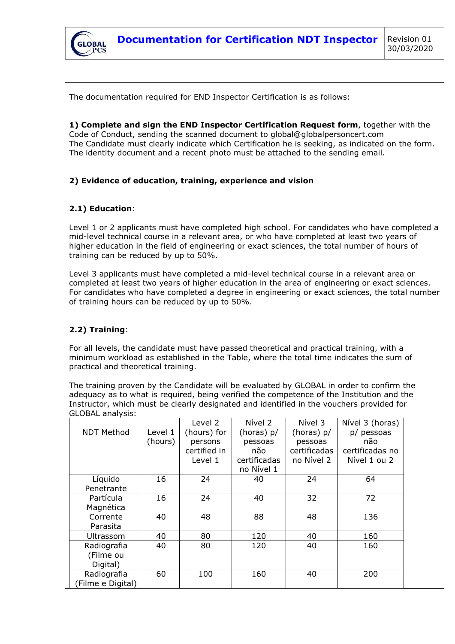

The documentation required for END Inspector Certification is as follows:

**1) Complete and sign the END Inspector Certification Request form**, together with the Code of Conduct, sending the scanned document to global@globalpersoncert.com The Candidate must clearly indicate which Certification he is seeking, as indicated on the form. The identity document and a recent photo must be attached to the sending email.

### **2) Evidence of education, training, experience and vision**

### **2.1) Education**:

Level 1 or 2 applicants must have completed high school. For candidates who have completed a mid-level technical course in a relevant area, or who have completed at least two years of higher education in the field of engineering or exact sciences, the total number of hours of training can be reduced by up to 50%.

Level 3 applicants must have completed a mid-level technical course in a relevant area or completed at least two years of higher education in the area of engineering or exact sciences. For candidates who have completed a degree in engineering or exact sciences, the total number of training hours can be reduced by up to 50%.

## **2.2) Training**:

For all levels, the candidate must have passed theoretical and practical training, with a minimum workload as established in the Table, where the total time indicates the sum of practical and theoretical training.

The training proven by the Candidate will be evaluated by GLOBAL in order to confirm the adequacy as to what is required, being verified the competence of the Institution and the Instructor, which must be clearly designated and identified in the vouchers provided for GLOBAL analysis:

|                   |         | Level 2      | Nível 2      | Nível 3      | Nível 3 (horas) |  |
|-------------------|---------|--------------|--------------|--------------|-----------------|--|
| <b>NDT Method</b> | Level 1 | (hours) for  | (horas) p/   | (horas) $p/$ | p/ pessoas      |  |
|                   | (hours) | persons      | pessoas      | pessoas      | não             |  |
|                   |         | certified in | não.         | certificadas | certificadas no |  |
|                   |         | Level 1      | certificadas | no Nível 2   | Nível 1 ou 2    |  |
|                   |         |              | no Nível 1   |              |                 |  |
| Líquido           | 16      | 24           | 40           | 24           | 64              |  |
| Penetrante        |         |              |              |              |                 |  |
| Partícula         | 16      | 24           | 40           | 32           | 72              |  |
| Magnética         |         |              |              |              |                 |  |
| Corrente          | 40      | 48           | 88           | 48           | 136             |  |
| Parasita          |         |              |              |              |                 |  |
| Ultrassom         | 40      | 80           | 120          | 40           | 160             |  |
| Radiografia       | 40      | 80           | 120          | 40           | 160             |  |
| (Filme ou         |         |              |              |              |                 |  |
| Digital)          |         |              |              |              |                 |  |
| Radiografia       | 60      | 100          | 160          | 40           | 200             |  |
| Filme e Digital)  |         |              |              |              |                 |  |